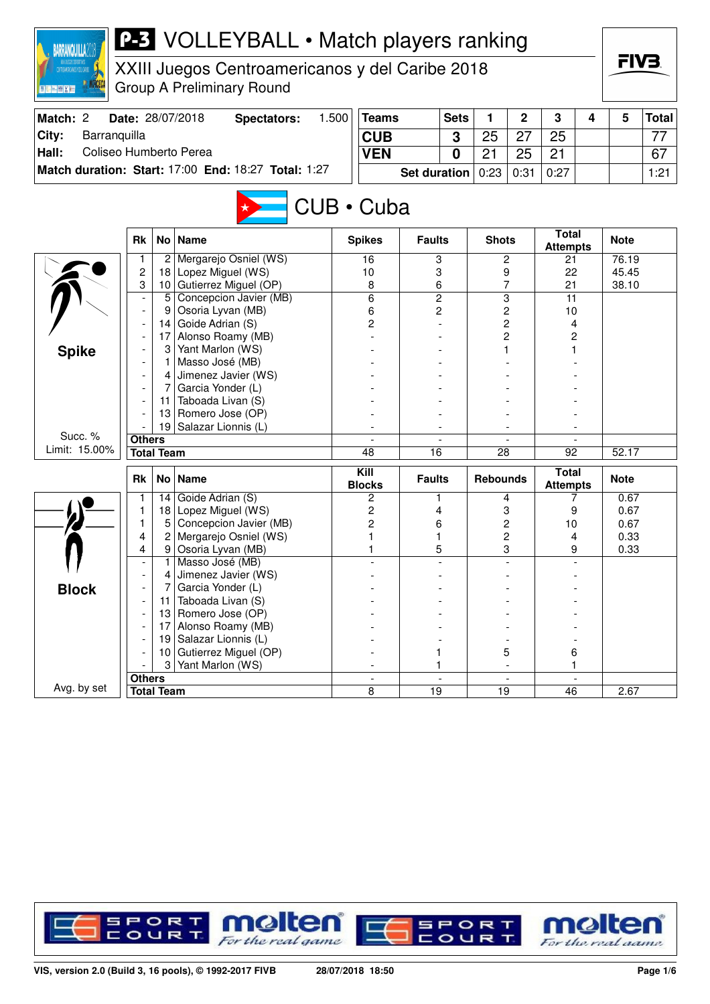| <b>BARRANQUILLA</b>             |               |                      | <b>P-3</b> VOLLEYBALL • Match players ranking       |                          |                     |             |                 |                     |                                 |   | FIV3.        |              |  |
|---------------------------------|---------------|----------------------|-----------------------------------------------------|--------------------------|---------------------|-------------|-----------------|---------------------|---------------------------------|---|--------------|--------------|--|
| <b>CATACAACAACA EEL CARAC</b>   |               |                      | XXIII Juegos Centroamericanos y del Caribe 2018     |                          |                     |             |                 |                     |                                 |   |              |              |  |
| <b>图 RE- mail 22 km</b>         |               |                      | <b>Group A Preliminary Round</b>                    |                          |                     |             |                 |                     |                                 |   |              |              |  |
| Match: 2                        |               |                      | 1.500<br>Date: 28/07/2018<br><b>Spectators:</b>     | <b>Teams</b>             |                     | <b>Sets</b> | 1               | $\overline{2}$      | 3                               | 4 | 5            | <b>Total</b> |  |
| City:<br>Barranquilla           |               |                      |                                                     | <b>CUB</b>               |                     | 3           | 25              | 27                  | 25                              |   |              | 77           |  |
| Coliseo Humberto Perea<br>Hall: |               |                      |                                                     | <b>VEN</b>               |                     | 0           | 21              | 25                  | 21                              |   |              | 67           |  |
|                                 |               |                      | Match duration: Start: 17:00 End: 18:27 Total: 1:27 |                          | <b>Set duration</b> |             | 0:23            | 0:31                | 0:27                            |   |              | 1:21         |  |
|                                 |               |                      |                                                     |                          |                     |             |                 |                     |                                 |   |              |              |  |
|                                 |               |                      |                                                     | CUB · Cuba               |                     |             |                 |                     |                                 |   |              |              |  |
|                                 |               |                      |                                                     |                          |                     |             |                 |                     | <b>Total</b>                    |   |              |              |  |
|                                 | <b>Rk</b>     |                      | No   Name                                           | <b>Spikes</b>            | <b>Faults</b>       |             | <b>Shots</b>    |                     | <b>Attempts</b>                 |   | <b>Note</b>  |              |  |
|                                 | $\mathbf{1}$  |                      | 2 Mergarejo Osniel (WS)                             | 16                       | 3                   |             |                 | 2                   | 21                              |   | 76.19        |              |  |
|                                 | 2             | 18                   | Lopez Miguel (WS)                                   | 10                       | 3                   |             |                 | 9                   | 22                              |   | 45.45        |              |  |
|                                 | 3             | 10 <sup>1</sup><br>5 | Gutierrez Miguel (OP)<br>Concepcion Javier (MB)     | 8<br>6                   | 6<br>$\overline{c}$ |             |                 | 7<br>$\overline{3}$ | 21<br>11                        |   | 38.10        |              |  |
|                                 |               | 9                    | Osoria Lyvan (MB)                                   | 6                        | 2                   |             |                 | 2                   | 10                              |   |              |              |  |
|                                 |               | 14                   | Goide Adrian (S)                                    | 2                        |                     |             |                 | 2                   | 4                               |   |              |              |  |
|                                 |               | 17                   | Alonso Roamy (MB)                                   |                          |                     |             |                 | 2                   | 2                               |   |              |              |  |
| <b>Spike</b>                    |               | 3                    | Yant Marlon (WS)                                    |                          |                     |             |                 |                     |                                 |   |              |              |  |
|                                 |               |                      | Masso José (MB)                                     |                          |                     |             |                 |                     |                                 |   |              |              |  |
|                                 |               | 4                    | Jimenez Javier (WS)                                 |                          |                     |             |                 |                     |                                 |   |              |              |  |
|                                 |               |                      | Garcia Yonder (L)                                   |                          |                     |             |                 |                     |                                 |   |              |              |  |
|                                 |               | 11                   | Taboada Livan (S)                                   |                          |                     |             |                 |                     |                                 |   |              |              |  |
|                                 |               | 13                   | Romero Jose (OP)                                    |                          |                     |             |                 |                     |                                 |   |              |              |  |
| Succ. %                         |               | 19                   | Salazar Lionnis (L)                                 |                          |                     |             |                 |                     |                                 |   |              |              |  |
| Limit: 15.00%                   | <b>Others</b> | <b>Total Team</b>    |                                                     | 48                       | $\overline{16}$     |             |                 |                     |                                 |   | 52.17        |              |  |
|                                 |               |                      |                                                     |                          |                     |             | 28              |                     | 92                              |   |              |              |  |
|                                 | Rk            |                      | No   Name                                           | Kill<br><b>Blocks</b>    | <b>Faults</b>       |             | <b>Rebounds</b> |                     | <b>Total</b><br><b>Attempts</b> |   | <b>Note</b>  |              |  |
|                                 | 1             |                      | 14 Goide Adrian $(S)$                               | 2                        | 1                   |             |                 | 4                   | 7                               |   | 0.67         |              |  |
|                                 | 1             |                      | 18 Lopez Miguel (WS)                                | 2                        | 4                   |             |                 | 3                   | 9                               |   | 0.67         |              |  |
|                                 | 1<br>4        | 5 <sup>1</sup><br>2  | Concepcion Javier (MB)                              | 2                        | 6                   |             |                 | $\overline{c}$      | 10                              |   | 0.67         |              |  |
|                                 | 4             |                      | Mergarejo Osniel (WS)<br>9 Osoria Lyvan (MB)        |                          | 1<br>5              |             |                 | 2<br>3              | 4<br>9                          |   | 0.33<br>0.33 |              |  |
|                                 |               |                      | 1 Masso José (MB)                                   |                          |                     |             |                 |                     |                                 |   |              |              |  |
|                                 |               | 4                    | Jimenez Javier (WS)                                 |                          |                     |             |                 |                     |                                 |   |              |              |  |
| <b>Block</b>                    |               |                      | Garcia Yonder (L)                                   |                          |                     |             |                 |                     |                                 |   |              |              |  |
|                                 |               | 11                   | Taboada Livan (S)                                   |                          |                     |             |                 |                     |                                 |   |              |              |  |
|                                 |               | 13                   | Romero Jose (OP)                                    |                          |                     |             |                 |                     |                                 |   |              |              |  |
|                                 |               | 17                   | Alonso Roamy (MB)                                   |                          |                     |             |                 |                     |                                 |   |              |              |  |
|                                 |               | 19                   | Salazar Lionnis (L)                                 |                          |                     |             |                 |                     |                                 |   |              |              |  |
|                                 |               | 10                   | Gutierrez Miguel (OP)                               |                          | 1                   |             |                 | 5                   | 6                               |   |              |              |  |
|                                 | <b>Others</b> | 3                    | Yant Marlon (WS)                                    | $\overline{\phantom{a}}$ | 1                   |             |                 |                     | 1                               |   |              |              |  |
| Avg. by set                     |               | <b>Total Team</b>    |                                                     | 8                        | 19                  |             | 19              |                     | 46                              |   | 2.67         |              |  |
|                                 |               |                      |                                                     |                          |                     |             |                 |                     |                                 |   |              |              |  |

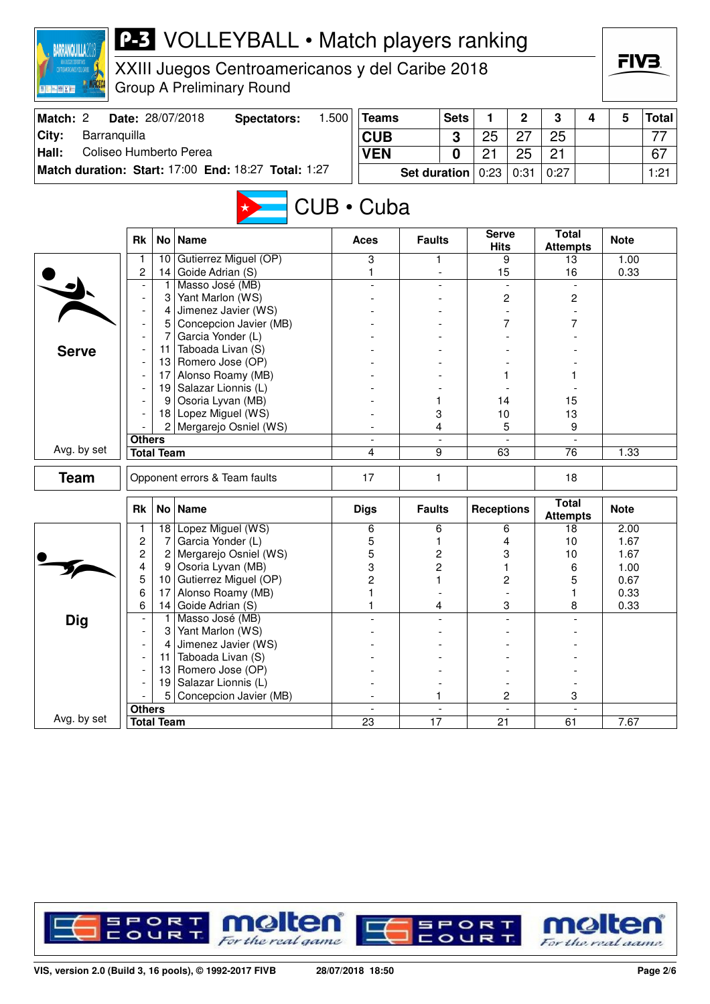| <b>BARRANQUILLA2</b>            |                          |                   | <b>P-3</b> VOLLEYBALL • Match players ranking       |       |                          |                     |                |                      |                          |                                 |   |              |              |
|---------------------------------|--------------------------|-------------------|-----------------------------------------------------|-------|--------------------------|---------------------|----------------|----------------------|--------------------------|---------------------------------|---|--------------|--------------|
| INTEGRATIONALS & DEL CARRE      |                          |                   | XXIII Juegos Centroamericanos y del Caribe 2018     |       |                          |                     |                |                      |                          |                                 |   | FIV3.        |              |
| 图 R. [m.] (图 ) ( ) ( )          |                          |                   | <b>Group A Preliminary Round</b>                    |       |                          |                     |                |                      |                          |                                 |   |              |              |
| Match: 2                        |                          |                   | Date: 28/07/2018<br><b>Spectators:</b>              | 1.500 | <b>Teams</b>             |                     | <b>Sets</b>    | 1                    | $\overline{2}$           | 3                               | 4 | 5            | <b>Total</b> |
| City:<br>Barranquilla           |                          |                   |                                                     |       | <b>CUB</b>               |                     | 3              | 25                   | 27                       | 25                              |   |              | 77           |
| Coliseo Humberto Perea<br>Hall: |                          |                   |                                                     |       | <b>VEN</b>               |                     | $\bf{0}$       | 21                   | 25                       | 21                              |   |              | 67           |
|                                 |                          |                   | Match duration: Start: 17:00 End: 18:27 Total: 1:27 |       |                          | <b>Set duration</b> |                | 0:23                 | 0:31                     | 0:27                            |   |              | 1:21         |
|                                 |                          |                   |                                                     |       |                          |                     |                |                      |                          |                                 |   |              |              |
|                                 |                          |                   |                                                     |       | CUB · Cuba               |                     |                |                      |                          |                                 |   |              |              |
|                                 | <b>Rk</b>                |                   | No   Name                                           |       | Aces                     | <b>Faults</b>       |                | <b>Serve</b><br>Hits |                          | <b>Total</b><br><b>Attempts</b> |   | <b>Note</b>  |              |
|                                 | 1                        | 10                | Gutierrez Miguel (OP)                               |       | 3                        | 1                   |                |                      | 9                        | 13                              |   | 1.00         |              |
|                                 | 2                        | 14                | Goide Adrian (S)                                    |       | 1                        |                     |                | 15                   |                          | 16                              |   | 0.33         |              |
|                                 |                          | 1<br>3            | Masso José (MB)<br>Yant Marlon (WS)                 |       |                          |                     |                |                      | $\overline{c}$           | $\overline{c}$                  |   |              |              |
|                                 |                          | 4                 | Jimenez Javier (WS)                                 |       |                          |                     |                |                      |                          |                                 |   |              |              |
|                                 |                          | 5                 | Concepcion Javier (MB)                              |       |                          |                     |                |                      | 7                        |                                 |   |              |              |
|                                 |                          | 7                 | Garcia Yonder (L)                                   |       |                          |                     |                |                      |                          |                                 |   |              |              |
| <b>Serve</b>                    |                          | 11                | Taboada Livan (S)                                   |       |                          |                     |                |                      |                          |                                 |   |              |              |
|                                 |                          |                   | 13 Romero Jose (OP)                                 |       |                          |                     |                |                      |                          |                                 |   |              |              |
|                                 |                          | 17                | Alonso Roamy (MB)                                   |       |                          |                     |                |                      |                          |                                 |   |              |              |
|                                 |                          |                   | 19 Salazar Lionnis (L)                              |       |                          |                     |                |                      |                          |                                 |   |              |              |
|                                 |                          | 9<br>18           | Osoria Lyvan (MB)<br>Lopez Miguel (WS)              |       |                          | 1<br>3              |                | 14<br>10             |                          | 15<br>13                        |   |              |              |
|                                 |                          |                   | Mergarejo Osniel (WS)                               |       |                          | 4                   |                |                      | 5                        | 9                               |   |              |              |
|                                 | <b>Others</b>            |                   |                                                     |       |                          |                     |                |                      |                          |                                 |   |              |              |
| Avg. by set                     |                          | <b>Total Team</b> |                                                     |       | 4                        | 9                   |                | 63                   |                          | 76                              |   | 1.33         |              |
| <b>Team</b>                     |                          |                   | Opponent errors & Team faults                       |       | 17                       |                     | 1              |                      |                          | 18                              |   |              |              |
|                                 | <b>Rk</b>                |                   | No Name                                             |       | <b>Digs</b>              | <b>Faults</b>       |                | <b>Receptions</b>    |                          | <b>Total</b><br><b>Attempts</b> |   | <b>Note</b>  |              |
|                                 |                          |                   | 18 Lopez Miguel (WS)                                |       | 6                        | 6                   |                |                      | 6                        | 18                              |   | 2.00         |              |
|                                 | $\boldsymbol{2}$         | 7                 | Garcia Yonder (L)                                   |       | 5                        | 1                   |                |                      | 4                        | 10                              |   | 1.67         |              |
|                                 | 2                        | 2                 | Mergarejo Osniel (WS)                               |       | 5                        | 2                   |                |                      | 3                        | 10                              |   | 1.67         |              |
|                                 | 4<br>5                   | 9<br>10           | Osoria Lyvan (MB)<br>Gutierrez Miguel (OP)          |       | 3<br>$\overline{c}$      | 2<br>1              |                |                      | 1<br>$\overline{c}$      | 6<br>5                          |   | 1.00<br>0.67 |              |
|                                 | 6                        | 17                | Alonso Roamy (MB)                                   |       |                          |                     |                |                      |                          | 1                               |   | 0.33         |              |
|                                 | 6                        | 14                | Goide Adrian (S)                                    |       |                          | 4                   |                |                      | 3                        | 8                               |   | 0.33         |              |
| <b>Dig</b>                      |                          |                   | Masso José (MB)                                     |       |                          |                     |                |                      |                          |                                 |   |              |              |
|                                 |                          | 3                 | Yant Marlon (WS)                                    |       |                          |                     |                |                      |                          |                                 |   |              |              |
|                                 | $\overline{\phantom{a}}$ |                   | Jimenez Javier (WS)                                 |       |                          |                     |                |                      |                          |                                 |   |              |              |
|                                 |                          | 11                | Taboada Livan (S)                                   |       |                          |                     |                |                      |                          |                                 |   |              |              |
|                                 |                          | 13                | Romero Jose (OP)<br>19 Salazar Lionnis (L)          |       |                          |                     |                |                      |                          |                                 |   |              |              |
|                                 |                          | 5                 | Concepcion Javier (MB)                              |       |                          | 1                   |                |                      | 2                        | 3                               |   |              |              |
|                                 | <b>Others</b>            |                   |                                                     |       | $\overline{\phantom{a}}$ |                     | $\blacksquare$ |                      | $\overline{\phantom{a}}$ |                                 |   |              |              |
| Avg. by set                     |                          | <b>Total Team</b> |                                                     |       | $\overline{23}$          | $\overline{17}$     |                | $\overline{21}$      |                          | 61                              |   | 7.67         |              |

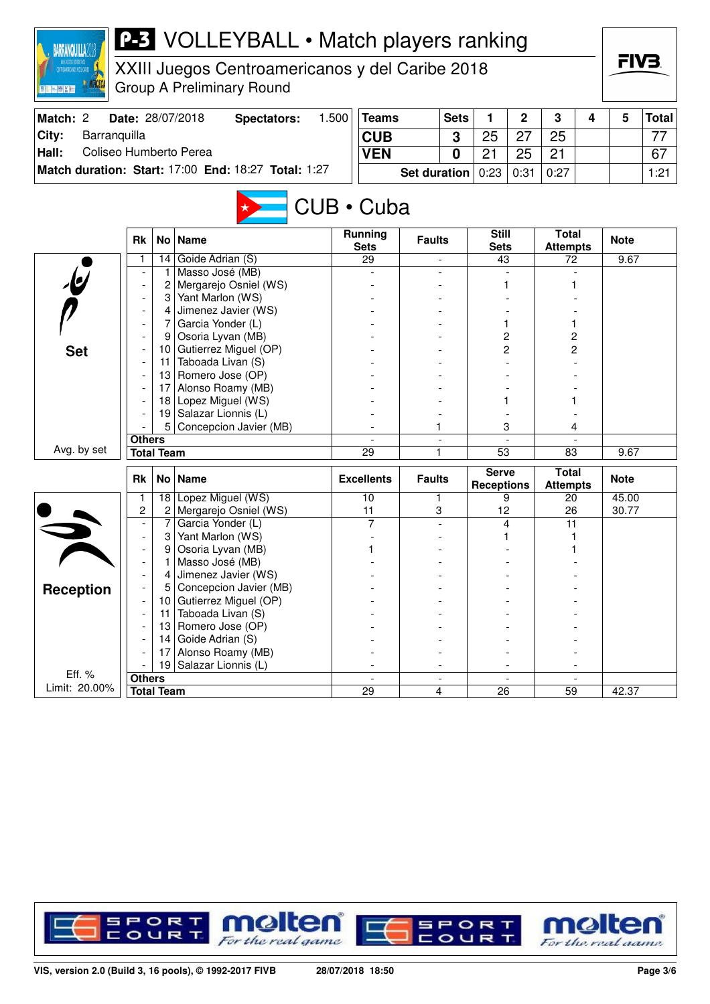

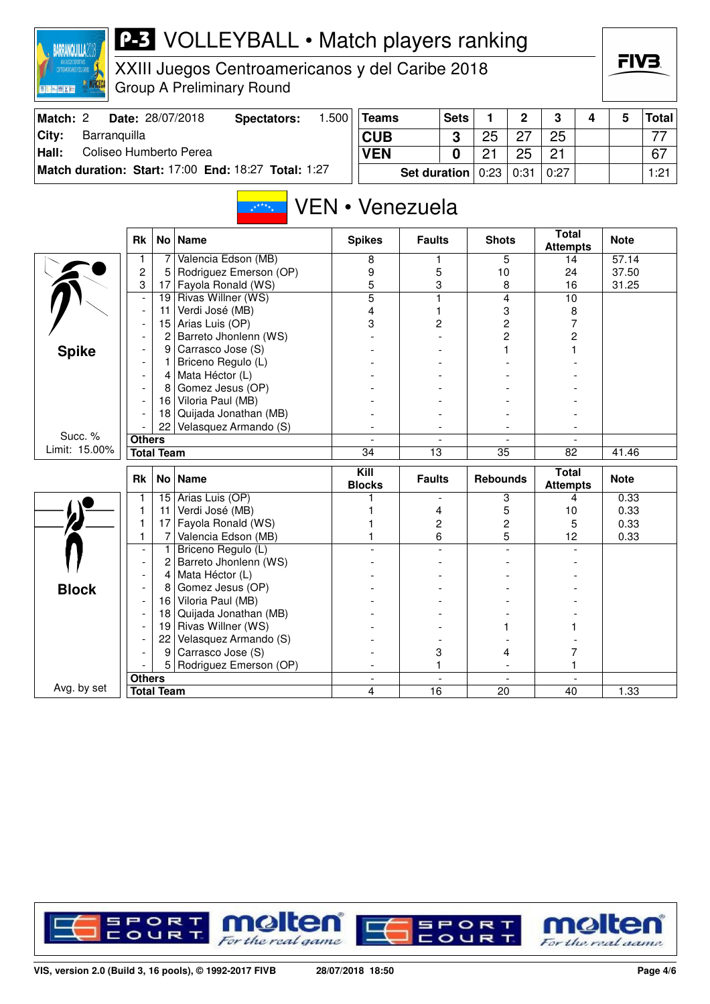| CONTROLATED CANOS 4 DEL CARIBE<br>国際回顾区域 |                          |                   | XXIII Juegos Centroamericanos y del Caribe 2018<br><b>Group A Preliminary Round</b> |                 |                          |                     |                          |                 |                |                                 |   | FIV3.        |              |
|------------------------------------------|--------------------------|-------------------|-------------------------------------------------------------------------------------|-----------------|--------------------------|---------------------|--------------------------|-----------------|----------------|---------------------------------|---|--------------|--------------|
| Match: 2                                 |                          |                   | Date: 28/07/2018<br><b>Spectators:</b>                                              | 1.500           | <b>Teams</b>             |                     | <b>Sets</b>              | 1.              | $\overline{2}$ | 3                               | 4 | 5            | <b>Total</b> |
| City:<br>Barranquilla                    |                          |                   |                                                                                     |                 | <b>CUB</b>               |                     | 3                        | 25              | 27             | 25                              |   |              | 77           |
| Coliseo Humberto Perea<br>Hall:          |                          |                   |                                                                                     |                 | <b>VEN</b>               |                     | $\mathbf{0}$             | 21              | 25             | 21                              |   |              | 67           |
|                                          |                          |                   | Match duration: Start: 17:00 End: 18:27 Total: 1:27                                 |                 |                          | <b>Set duration</b> |                          | 0:23            | 0:31           | 0:27                            |   |              | 1:21         |
|                                          |                          |                   |                                                                                     | VEN • Venezuela |                          |                     |                          |                 |                |                                 |   |              |              |
|                                          | Rk                       |                   | No Name                                                                             |                 | <b>Spikes</b>            | <b>Faults</b>       |                          | <b>Shots</b>    |                | <b>Total</b><br><b>Attempts</b> |   | <b>Note</b>  |              |
|                                          | 1                        | 7                 | Valencia Edson (MB)                                                                 |                 | 8                        | 1                   |                          |                 | 5              | 14                              |   | 57.14        |              |
|                                          | 2                        | 5.                | Rodriguez Emerson (OP)                                                              |                 | 9                        | 5                   |                          | 10              |                | 24                              |   | 37.50        |              |
|                                          | 3                        |                   | 17 Fayola Ronald (WS)                                                               |                 | 5                        | 3                   |                          |                 | 8              | 16                              |   | 31.25        |              |
|                                          | $\overline{a}$           | 19                | Rivas Willner (WS)                                                                  |                 | $\overline{5}$           | 1                   |                          |                 | 4              | 10                              |   |              |              |
|                                          | $\overline{\phantom{a}}$ | 11                | Verdi José (MB)                                                                     |                 | 4                        |                     |                          |                 | 3              | 8                               |   |              |              |
|                                          |                          | 15                | Arias Luis (OP)                                                                     |                 | 3                        | 2                   |                          |                 | 2              | 7                               |   |              |              |
|                                          |                          | 2                 | Barreto Jhonlenn (WS)                                                               |                 |                          |                     |                          |                 | $\overline{c}$ | 2                               |   |              |              |
| <b>Spike</b>                             |                          | 9 <sup>°</sup>    | Carrasco Jose (S)                                                                   |                 |                          |                     |                          |                 |                |                                 |   |              |              |
|                                          |                          | 1                 | Briceno Regulo (L)                                                                  |                 |                          |                     |                          |                 |                |                                 |   |              |              |
|                                          | $\overline{\phantom{a}}$ | 4<br>8            | Mata Héctor (L)<br>Gomez Jesus (OP)                                                 |                 |                          |                     |                          |                 |                |                                 |   |              |              |
|                                          |                          | 16                | Viloria Paul (MB)                                                                   |                 |                          |                     |                          |                 |                |                                 |   |              |              |
|                                          |                          | 18                | Quijada Jonathan (MB)                                                               |                 |                          |                     |                          |                 |                |                                 |   |              |              |
|                                          |                          | 22                | Velasquez Armando (S)                                                               |                 |                          |                     |                          |                 |                |                                 |   |              |              |
| Succ. %                                  | <b>Others</b>            |                   |                                                                                     |                 | $\overline{\phantom{a}}$ |                     | $\overline{\phantom{a}}$ |                 |                |                                 |   |              |              |
| Limit: 15.00%                            |                          | <b>Total Team</b> |                                                                                     |                 | $\overline{34}$          | 13                  |                          | 35              |                | 82                              |   | 41.46        |              |
|                                          |                          |                   |                                                                                     |                 |                          |                     |                          |                 |                |                                 |   |              |              |
|                                          | Rk                       |                   | No   Name                                                                           |                 | Kill<br><b>Blocks</b>    | <b>Faults</b>       |                          | <b>Rebounds</b> |                | <b>Total</b><br><b>Attempts</b> |   | <b>Note</b>  |              |
|                                          | 1                        | 15                | Arias Luis (OP)                                                                     |                 |                          |                     |                          |                 | 3              | 4                               |   | 0.33         |              |
|                                          | 1<br>1                   | 11                | Verdi José (MB)<br>Fayola Ronald (WS)                                               |                 |                          | 4                   |                          |                 | 5              | 10                              |   | 0.33         |              |
|                                          | 1                        | 17<br>7           | Valencia Edson (MB)                                                                 |                 |                          | 2<br>6              |                          |                 | 2<br>5         | 5<br>12                         |   | 0.33<br>0.33 |              |
|                                          |                          | 1.                | Briceno Regulo (L)                                                                  |                 |                          |                     |                          |                 |                |                                 |   |              |              |
|                                          |                          | 2                 | Barreto Jhonlenn (WS)                                                               |                 |                          |                     |                          |                 |                |                                 |   |              |              |
|                                          |                          | 4                 | Mata Héctor (L)                                                                     |                 |                          |                     |                          |                 |                |                                 |   |              |              |
| <b>Block</b>                             |                          | 8                 | Gomez Jesus (OP)                                                                    |                 |                          |                     |                          |                 |                |                                 |   |              |              |
|                                          |                          | 16                | Viloria Paul (MB)                                                                   |                 |                          |                     |                          |                 |                |                                 |   |              |              |
|                                          |                          |                   | 18 Quijada Jonathan (MB)                                                            |                 |                          |                     |                          |                 |                |                                 |   |              |              |
|                                          |                          |                   | 19 Rivas Willner (WS)                                                               |                 |                          |                     |                          |                 |                |                                 |   |              |              |
|                                          |                          | 22                | Velasquez Armando (S)                                                               |                 |                          |                     |                          |                 |                |                                 |   |              |              |
|                                          |                          | 9                 | Carrasco Jose (S)                                                                   |                 |                          | 3                   |                          |                 | 4              | 7                               |   |              |              |
|                                          |                          | 5                 | Rodriguez Emerson (OP)                                                              |                 |                          |                     | 1                        |                 |                | 1.                              |   |              |              |
|                                          | <b>Others</b>            |                   |                                                                                     |                 |                          |                     |                          |                 |                |                                 |   |              |              |
| Avg. by set                              | <b>Total Team</b>        |                   |                                                                                     |                 | 4                        | 16                  |                          | 20              |                | 40                              |   | 1.33         |              |

**P-3** VOLLEYBALL • Match players ranking

**RAPPANOLILLA**2018

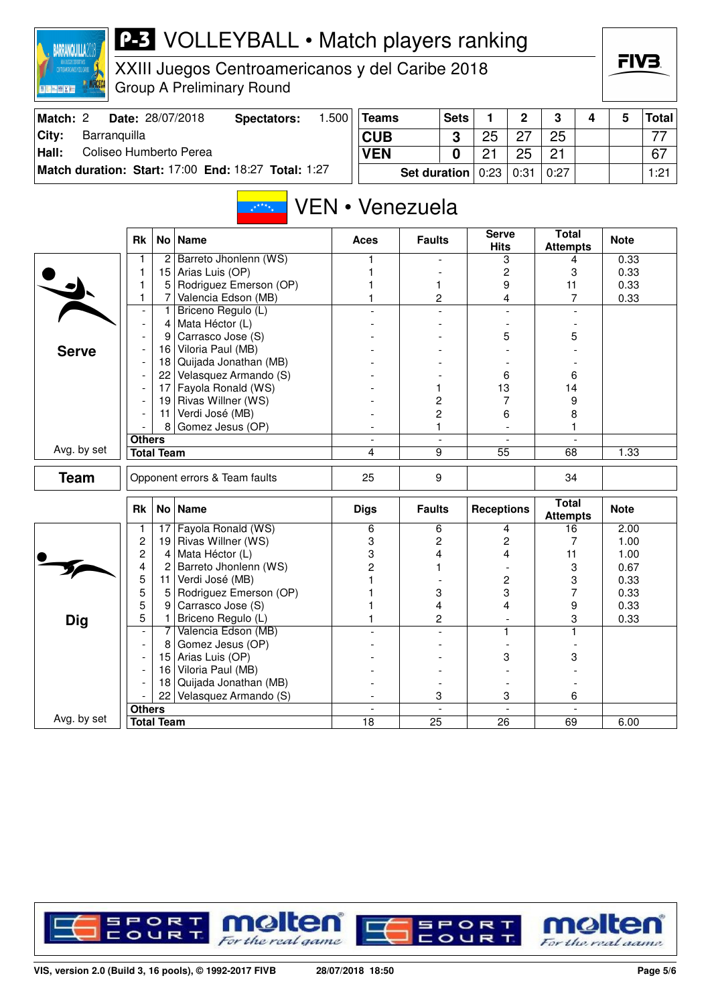| TOTALCOS DOPORTADS<br>CENTROMERICANOS Y EEL CARRE<br><b>BUCKIN</b> |                               |                                   | XXIII Juegos Centroamericanos y del Caribe 2018<br><b>Group A Preliminary Round</b> |       |                               |                     |                |                   |                |                                 |                | FIV3.        |              |
|--------------------------------------------------------------------|-------------------------------|-----------------------------------|-------------------------------------------------------------------------------------|-------|-------------------------------|---------------------|----------------|-------------------|----------------|---------------------------------|----------------|--------------|--------------|
| Match: 2                                                           |                               |                                   | Date: 28/07/2018<br><b>Spectators:</b>                                              | 1.500 | <b>Teams</b>                  |                     | <b>Sets</b>    | $\mathbf{1}$      | $\mathbf{2}$   | 3                               | 4              | 5            | <b>Total</b> |
| City:<br>Barranquilla                                              |                               |                                   |                                                                                     |       | <b>CUB</b>                    |                     | 3              | 25                | 27             | 25                              |                |              | 77           |
| Coliseo Humberto Perea<br>Hall:                                    |                               |                                   |                                                                                     |       | <b>VEN</b>                    |                     | 0              | 21                | 25             | 21                              |                |              | 67           |
|                                                                    |                               |                                   | Match duration: Start: 17:00 End: 18:27 Total: 1:27                                 |       |                               |                     |                |                   |                |                                 |                |              |              |
|                                                                    |                               |                                   |                                                                                     |       |                               | <b>Set duration</b> |                | 0:23              | 0:31           | 0:27                            |                |              | 1:21         |
|                                                                    |                               |                                   | No Name                                                                             |       | VEN • Venezuela               |                     |                | Serve             |                | <b>Total</b>                    |                |              |              |
|                                                                    | Rk                            |                                   |                                                                                     |       | Aces                          | <b>Faults</b>       |                | <b>Hits</b>       |                | <b>Attempts</b>                 |                | <b>Note</b>  |              |
|                                                                    | 1                             | $\overline{2}$                    | Barreto Jhonlenn (WS)                                                               |       |                               |                     |                |                   | 3              | 4                               |                | 0.33         |              |
|                                                                    | 1                             | 15                                | Arias Luis (OP)                                                                     |       |                               |                     |                | 2                 |                | 3                               |                | 0.33         |              |
|                                                                    | 1                             | 5<br>7                            | Rodriguez Emerson (OP)<br>Valencia Edson (MB)                                       |       |                               | 1                   |                | 9                 |                | 11<br>7                         |                | 0.33         |              |
|                                                                    | 1<br>$\overline{\phantom{a}}$ | 1                                 | Briceno Regulo (L)                                                                  |       |                               | 2                   |                |                   | 4              |                                 |                | 0.33         |              |
|                                                                    | $\overline{\phantom{a}}$      | 4                                 | Mata Héctor (L)                                                                     |       |                               |                     |                |                   |                |                                 |                |              |              |
|                                                                    |                               | 9                                 | Carrasco Jose (S)                                                                   |       |                               |                     |                |                   | 5              | 5                               |                |              |              |
| <b>Serve</b>                                                       |                               | 16                                | Viloria Paul (MB)                                                                   |       |                               |                     |                |                   |                |                                 |                |              |              |
|                                                                    |                               |                                   | 18 Quijada Jonathan (MB)                                                            |       |                               |                     |                |                   |                |                                 |                |              |              |
|                                                                    |                               | 22                                | Velasquez Armando (S)                                                               |       |                               |                     |                | 6                 |                | 6                               |                |              |              |
|                                                                    |                               | 17                                | Fayola Ronald (WS)                                                                  |       |                               | 1                   |                | 13                |                | 14                              |                |              |              |
|                                                                    |                               | 19                                | Rivas Willner (WS)                                                                  |       |                               | 2                   |                |                   | 7              | 9                               |                |              |              |
|                                                                    |                               | 11                                | Verdi José (MB)                                                                     |       |                               | 2                   |                | 6                 |                | 8                               |                |              |              |
|                                                                    |                               | 8                                 | Gomez Jesus (OP)                                                                    |       |                               | 1                   |                |                   |                | 1                               |                |              |              |
| Avg. by set                                                        | <b>Others</b>                 | <b>Total Team</b>                 |                                                                                     |       | $\overline{\phantom{a}}$<br>4 | 9                   | $\blacksquare$ | 55                | $\blacksquare$ | 68                              | $\blacksquare$ | 1.33         |              |
|                                                                    |                               |                                   |                                                                                     |       |                               |                     |                |                   |                |                                 |                |              |              |
| <b>Team</b>                                                        |                               |                                   | Opponent errors & Team faults                                                       |       | 25                            | 9                   |                |                   |                | 34                              |                |              |              |
|                                                                    | Rk                            |                                   | No   Name                                                                           |       | <b>Digs</b>                   | <b>Faults</b>       |                | <b>Receptions</b> |                | <b>Total</b><br><b>Attempts</b> |                | <b>Note</b>  |              |
|                                                                    | 1                             | 17                                | Fayola Ronald (WS)                                                                  |       | 6                             | 6                   |                | 4                 |                | 16                              |                | 2.00         |              |
|                                                                    | 2<br>2                        | 19 <sub>1</sub><br>$\overline{4}$ | Rivas Willner (WS)<br>Mata Héctor (L)                                               |       | 3                             | 2<br>4              |                | 4                 | 2              | 7                               |                | 1.00         |              |
|                                                                    | 4                             | 2                                 | Barreto Jhonlenn (WS)                                                               |       | 3<br>$\overline{c}$           |                     |                |                   |                | 11<br>3                         |                | 1.00<br>0.67 |              |
|                                                                    | 5                             | 11                                | Verdi José (MB)                                                                     |       | 1                             |                     |                | $\overline{c}$    |                | 3                               |                | 0.33         |              |
|                                                                    | 5                             | 5                                 | Rodriguez Emerson (OP)                                                              |       |                               | 3                   |                | 3                 |                | 7                               |                | 0.33         |              |
|                                                                    | 5                             | 9                                 | Carrasco Jose (S)                                                                   |       |                               | 4                   |                |                   | 4              | 9                               |                | 0.33         |              |
| <b>Dig</b>                                                         | 5                             | 1                                 | Briceno Regulo (L)                                                                  |       |                               | 2                   |                |                   |                | 3                               |                | 0.33         |              |
|                                                                    |                               | 7                                 | Valencia Edson (MB)                                                                 |       |                               |                     |                |                   | 1              | 1                               |                |              |              |
|                                                                    | $\overline{\phantom{a}}$      | 8                                 | Gomez Jesus (OP)                                                                    |       |                               |                     |                |                   |                |                                 |                |              |              |
|                                                                    |                               | 15 <sub>1</sub>                   | Arias Luis (OP)                                                                     |       |                               |                     |                |                   | 3              | 3                               |                |              |              |
|                                                                    |                               |                                   | 16 Viloria Paul (MB)                                                                |       |                               |                     |                |                   |                |                                 |                |              |              |
|                                                                    |                               | 18  <br>22                        | Quijada Jonathan (MB)<br>Velasquez Armando (S)                                      |       |                               | 3                   |                |                   | 3              |                                 |                |              |              |
|                                                                    | <b>Others</b>                 |                                   |                                                                                     |       |                               |                     |                |                   |                | 6                               |                |              |              |
| Avg. by set                                                        |                               | <b>Total Team</b>                 |                                                                                     |       | $\overline{18}$               | $\overline{25}$     |                | $\overline{26}$   |                | 69                              |                | 6.00         |              |

**P-3** VOLLEYBALL • Match players ranking